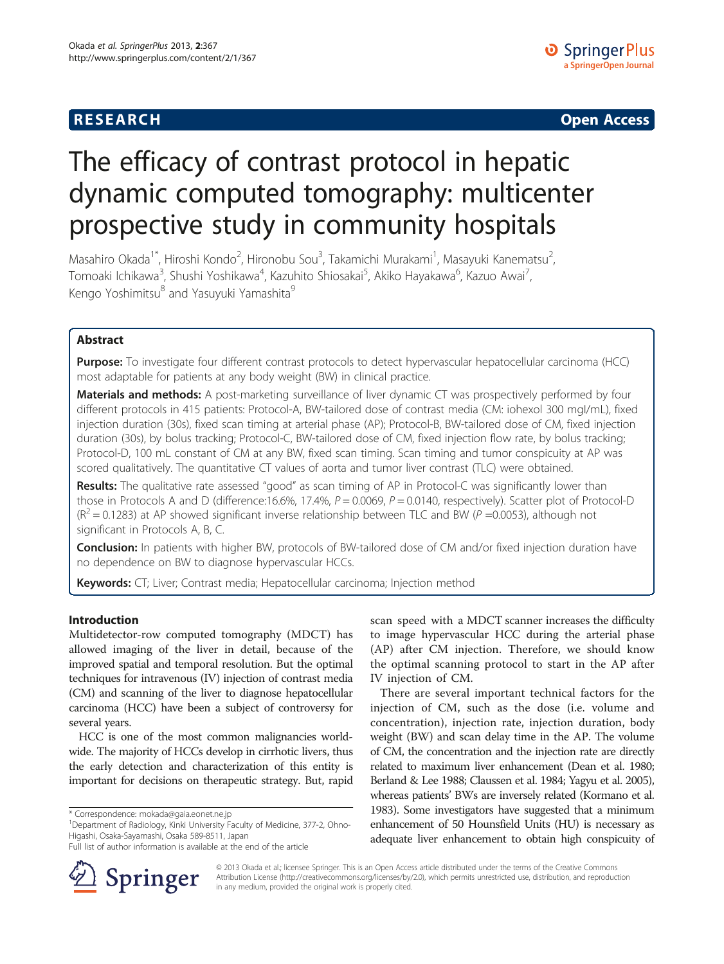# **RESEARCH RESEARCH CONSUMING ACCESS**

# The efficacy of contrast protocol in hepatic dynamic computed tomography: multicenter prospective study in community hospitals

Masahiro Okada<sup>1\*</sup>, Hiroshi Kondo<sup>2</sup>, Hironobu Sou<sup>3</sup>, Takamichi Murakami<sup>1</sup>, Masayuki Kanematsu<sup>2</sup> .<br>, Tomoaki Ichikawa<sup>3</sup>, Shushi Yoshikawa<sup>4</sup>, Kazuhito Shiosakai<sup>5</sup>, Akiko Hayakawa<sup>6</sup>, Kazuo Awai<sup>7</sup> , Kengo Yoshimitsu<sup>8</sup> and Yasuyuki Yamashita<sup>9</sup>

## Abstract

Purpose: To investigate four different contrast protocols to detect hypervascular hepatocellular carcinoma (HCC) most adaptable for patients at any body weight (BW) in clinical practice.

Materials and methods: A post-marketing surveillance of liver dynamic CT was prospectively performed by four different protocols in 415 patients: Protocol-A, BW-tailored dose of contrast media (CM: iohexol 300 mgI/mL), fixed injection duration (30s), fixed scan timing at arterial phase (AP); Protocol-B, BW-tailored dose of CM, fixed injection duration (30s), by bolus tracking; Protocol-C, BW-tailored dose of CM, fixed injection flow rate, by bolus tracking; Protocol-D, 100 mL constant of CM at any BW, fixed scan timing. Scan timing and tumor conspicuity at AP was scored qualitatively. The quantitative CT values of aorta and tumor liver contrast (TLC) were obtained.

Results: The qualitative rate assessed "good" as scan timing of AP in Protocol-C was significantly lower than those in Protocols A and D (difference:16.6%, 17.4%,  $P = 0.0069$ ,  $P = 0.0140$ , respectively). Scatter plot of Protocol-D  $(R^2 = 0.1283)$  at AP showed significant inverse relationship between TLC and BW (P = 0.0053), although not significant in Protocols A, B, C.

Conclusion: In patients with higher BW, protocols of BW-tailored dose of CM and/or fixed injection duration have no dependence on BW to diagnose hypervascular HCCs.

Keywords: CT; Liver; Contrast media; Hepatocellular carcinoma; Injection method

## Introduction

Multidetector-row computed tomography (MDCT) has allowed imaging of the liver in detail, because of the improved spatial and temporal resolution. But the optimal techniques for intravenous (IV) injection of contrast media (CM) and scanning of the liver to diagnose hepatocellular carcinoma (HCC) have been a subject of controversy for several years.

HCC is one of the most common malignancies worldwide. The majority of HCCs develop in cirrhotic livers, thus the early detection and characterization of this entity is important for decisions on therapeutic strategy. But, rapid

\* Correspondence: [mokada@gaia.eonet.ne.jp](mailto:mokada@gaia.eonet.ne.jp) <sup>1</sup>

<sup>1</sup>Department of Radiology, Kinki University Faculty of Medicine, 377-2, Ohno-Higashi, Osaka-Sayamashi, Osaka 589-8511, Japan

Full list of author information is available at the end of the article



scan speed with a MDCT scanner increases the difficulty to image hypervascular HCC during the arterial phase (AP) after CM injection. Therefore, we should know the optimal scanning protocol to start in the AP after IV injection of CM.

There are several important technical factors for the injection of CM, such as the dose (i.e. volume and concentration), injection rate, injection duration, body weight (BW) and scan delay time in the AP. The volume of CM, the concentration and the injection rate are directly related to maximum liver enhancement (Dean et al. [1980](#page-10-0); Berland & Lee [1988](#page-10-0); Claussen et al. [1984](#page-10-0); Yagyu et al. [2005](#page-11-0)), whereas patients' BWs are inversely related (Kormano et al. [1983](#page-11-0)). Some investigators have suggested that a minimum enhancement of 50 Hounsfield Units (HU) is necessary as adequate liver enhancement to obtain high conspicuity of

© 2013 Okada et al.; licensee Springer. This is an Open Access article distributed under the terms of the Creative Commons Attribution License [\(http://creativecommons.org/licenses/by/2.0\)](http://creativecommons.org/licenses/by/2.0), which permits unrestricted use, distribution, and reproduction in any medium, provided the original work is properly cited.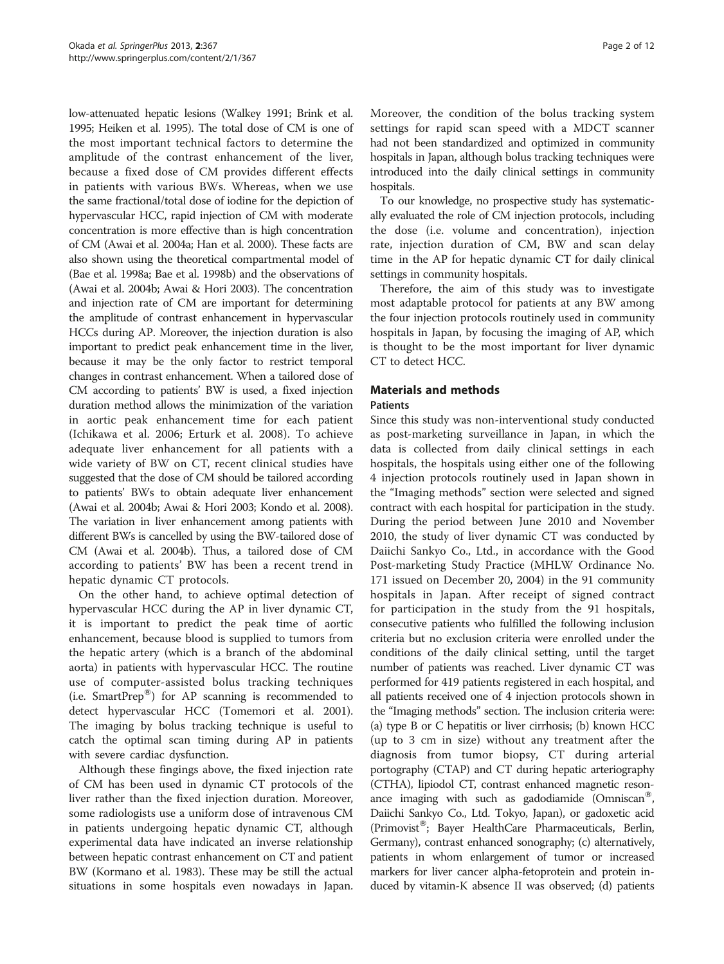low-attenuated hepatic lesions (Walkey [1991;](#page-11-0) Brink et al. [1995](#page-10-0); Heiken et al. [1995\)](#page-10-0). The total dose of CM is one of the most important technical factors to determine the amplitude of the contrast enhancement of the liver, because a fixed dose of CM provides different effects in patients with various BWs. Whereas, when we use the same fractional/total dose of iodine for the depiction of hypervascular HCC, rapid injection of CM with moderate concentration is more effective than is high concentration of CM (Awai et al. [2004a](#page-10-0); Han et al. [2000\)](#page-10-0). These facts are also shown using the theoretical compartmental model of (Bae et al. [1998a](#page-10-0); Bae et al. [1998b\)](#page-10-0) and the observations of (Awai et al. [2004b](#page-10-0); Awai & Hori [2003\)](#page-10-0). The concentration and injection rate of CM are important for determining the amplitude of contrast enhancement in hypervascular HCCs during AP. Moreover, the injection duration is also important to predict peak enhancement time in the liver, because it may be the only factor to restrict temporal changes in contrast enhancement. When a tailored dose of CM according to patients' BW is used, a fixed injection duration method allows the minimization of the variation in aortic peak enhancement time for each patient (Ichikawa et al. [2006](#page-10-0); Erturk et al. [2008](#page-10-0)). To achieve adequate liver enhancement for all patients with a wide variety of BW on CT, recent clinical studies have suggested that the dose of CM should be tailored according to patients' BWs to obtain adequate liver enhancement (Awai et al. [2004b](#page-10-0); Awai & Hori [2003;](#page-10-0) Kondo et al. [2008](#page-10-0)). The variation in liver enhancement among patients with different BWs is cancelled by using the BW-tailored dose of CM (Awai et al. [2004b](#page-10-0)). Thus, a tailored dose of CM according to patients' BW has been a recent trend in hepatic dynamic CT protocols.

On the other hand, to achieve optimal detection of hypervascular HCC during the AP in liver dynamic CT, it is important to predict the peak time of aortic enhancement, because blood is supplied to tumors from the hepatic artery (which is a branch of the abdominal aorta) in patients with hypervascular HCC. The routine use of computer-assisted bolus tracking techniques (i.e.  $SmartPrep^{\circledR})$  for AP scanning is recommended to detect hypervascular HCC (Tomemori et al. [2001](#page-11-0)). The imaging by bolus tracking technique is useful to catch the optimal scan timing during AP in patients with severe cardiac dysfunction.

Although these fingings above, the fixed injection rate of CM has been used in dynamic CT protocols of the liver rather than the fixed injection duration. Moreover, some radiologists use a uniform dose of intravenous CM in patients undergoing hepatic dynamic CT, although experimental data have indicated an inverse relationship between hepatic contrast enhancement on CT and patient BW (Kormano et al. [1983](#page-11-0)). These may be still the actual situations in some hospitals even nowadays in Japan.

Moreover, the condition of the bolus tracking system settings for rapid scan speed with a MDCT scanner had not been standardized and optimized in community hospitals in Japan, although bolus tracking techniques were introduced into the daily clinical settings in community hospitals.

To our knowledge, no prospective study has systematically evaluated the role of CM injection protocols, including the dose (i.e. volume and concentration), injection rate, injection duration of CM, BW and scan delay time in the AP for hepatic dynamic CT for daily clinical settings in community hospitals.

Therefore, the aim of this study was to investigate most adaptable protocol for patients at any BW among the four injection protocols routinely used in community hospitals in Japan, by focusing the imaging of AP, which is thought to be the most important for liver dynamic CT to detect HCC.

## Materials and methods

## **Patients**

Since this study was non-interventional study conducted as post-marketing surveillance in Japan, in which the data is collected from daily clinical settings in each hospitals, the hospitals using either one of the following 4 injection protocols routinely used in Japan shown in the "[Imaging methods](#page-2-0)" section were selected and signed contract with each hospital for participation in the study. During the period between June 2010 and November 2010, the study of liver dynamic CT was conducted by Daiichi Sankyo Co., Ltd., in accordance with the Good Post-marketing Study Practice (MHLW Ordinance No. 171 issued on December 20, 2004) in the 91 community hospitals in Japan. After receipt of signed contract for participation in the study from the 91 hospitals, consecutive patients who fulfilled the following inclusion criteria but no exclusion criteria were enrolled under the conditions of the daily clinical setting, until the target number of patients was reached. Liver dynamic CT was performed for 419 patients registered in each hospital, and all patients received one of 4 injection protocols shown in the "[Imaging methods](#page-2-0)" section. The inclusion criteria were: (a) type B or C hepatitis or liver cirrhosis; (b) known HCC (up to 3 cm in size) without any treatment after the diagnosis from tumor biopsy, CT during arterial portography (CTAP) and CT during hepatic arteriography (CTHA), lipiodol CT, contrast enhanced magnetic resonance imaging with such as gadodiamide (Omniscan<sup>®</sup>, Daiichi Sankyo Co., Ltd. Tokyo, Japan), or gadoxetic acid (Primovist®; Bayer HealthCare Pharmaceuticals, Berlin, Germany), contrast enhanced sonography; (c) alternatively, patients in whom enlargement of tumor or increased markers for liver cancer alpha-fetoprotein and protein induced by vitamin-K absence II was observed; (d) patients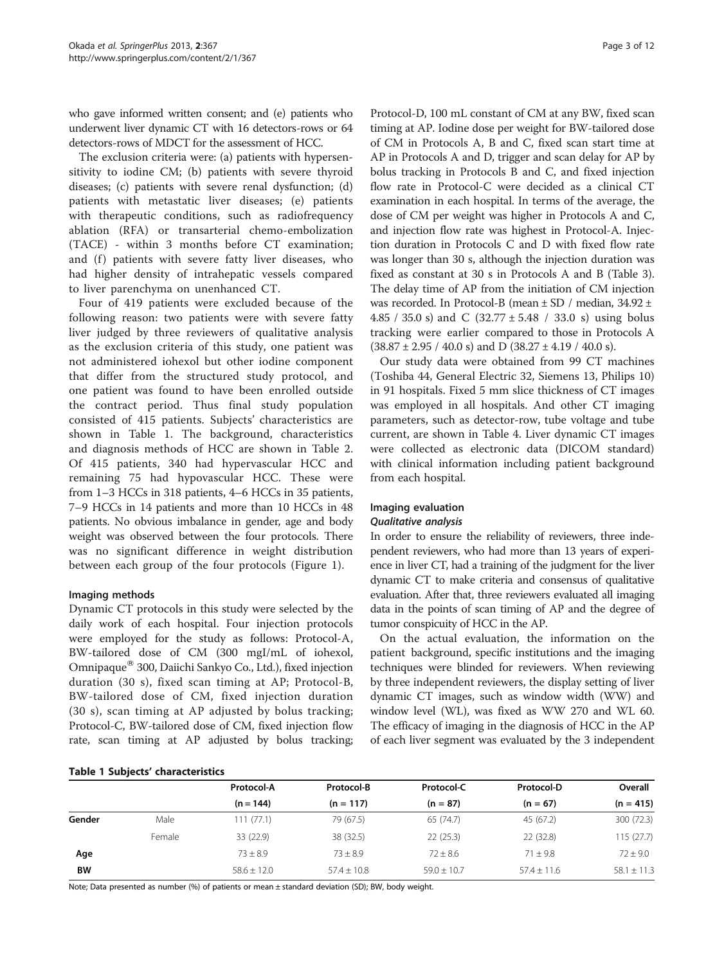<span id="page-2-0"></span>who gave informed written consent; and (e) patients who underwent liver dynamic CT with 16 detectors-rows or 64 detectors-rows of MDCT for the assessment of HCC.

The exclusion criteria were: (a) patients with hypersensitivity to iodine CM; (b) patients with severe thyroid diseases; (c) patients with severe renal dysfunction; (d) patients with metastatic liver diseases; (e) patients with therapeutic conditions, such as radiofrequency ablation (RFA) or transarterial chemo-embolization (TACE) - within 3 months before CT examination; and (f) patients with severe fatty liver diseases, who had higher density of intrahepatic vessels compared to liver parenchyma on unenhanced CT.

Four of 419 patients were excluded because of the following reason: two patients were with severe fatty liver judged by three reviewers of qualitative analysis as the exclusion criteria of this study, one patient was not administered iohexol but other iodine component that differ from the structured study protocol, and one patient was found to have been enrolled outside the contract period. Thus final study population consisted of 415 patients. Subjects' characteristics are shown in Table 1. The background, characteristics and diagnosis methods of HCC are shown in Table [2](#page-3-0). Of 415 patients, 340 had hypervascular HCC and remaining 75 had hypovascular HCC. These were from 1–3 HCCs in 318 patients, 4–6 HCCs in 35 patients, 7–9 HCCs in 14 patients and more than 10 HCCs in 48 patients. No obvious imbalance in gender, age and body weight was observed between the four protocols. There was no significant difference in weight distribution between each group of the four protocols (Figure [1\)](#page-4-0).

## Imaging methods

Dynamic CT protocols in this study were selected by the daily work of each hospital. Four injection protocols were employed for the study as follows: Protocol-A, BW-tailored dose of CM (300 mgI/mL of iohexol, Omnipaque<sup>®</sup> 300, Daiichi Sankyo Co., Ltd.), fixed injection duration (30 s), fixed scan timing at AP; Protocol-B, BW-tailored dose of CM, fixed injection duration (30 s), scan timing at AP adjusted by bolus tracking; Protocol-C, BW-tailored dose of CM, fixed injection flow rate, scan timing at AP adjusted by bolus tracking;

| Table 1 Subjects' characteristics |  |
|-----------------------------------|--|
|-----------------------------------|--|

Protocol-D, 100 mL constant of CM at any BW, fixed scan timing at AP. Iodine dose per weight for BW-tailored dose of CM in Protocols A, B and C, fixed scan start time at AP in Protocols A and D, trigger and scan delay for AP by bolus tracking in Protocols B and C, and fixed injection flow rate in Protocol-C were decided as a clinical CT examination in each hospital. In terms of the average, the dose of CM per weight was higher in Protocols A and C, and injection flow rate was highest in Protocol-A. Injection duration in Protocols C and D with fixed flow rate was longer than 30 s, although the injection duration was fixed as constant at 30 s in Protocols A and B (Table [3](#page-4-0)). The delay time of AP from the initiation of CM injection was recorded. In Protocol-B (mean ± SD / median, 34.92 ± 4.85 / 35.0 s) and C (32.77 ± 5.48 / 33.0 s) using bolus tracking were earlier compared to those in Protocols A  $(38.87 \pm 2.95 / 40.0 \text{ s})$  and D  $(38.27 \pm 4.19 / 40.0 \text{ s})$ .

Our study data were obtained from 99 CT machines (Toshiba 44, General Electric 32, Siemens 13, Philips 10) in 91 hospitals. Fixed 5 mm slice thickness of CT images was employed in all hospitals. And other CT imaging parameters, such as detector-row, tube voltage and tube current, are shown in Table [4.](#page-5-0) Liver dynamic CT images were collected as electronic data (DICOM standard) with clinical information including patient background from each hospital.

### Imaging evaluation

### Qualitative analysis

In order to ensure the reliability of reviewers, three independent reviewers, who had more than 13 years of experience in liver CT, had a training of the judgment for the liver dynamic CT to make criteria and consensus of qualitative evaluation. After that, three reviewers evaluated all imaging data in the points of scan timing of AP and the degree of tumor conspicuity of HCC in the AP.

On the actual evaluation, the information on the patient background, specific institutions and the imaging techniques were blinded for reviewers. When reviewing by three independent reviewers, the display setting of liver dynamic CT images, such as window width (WW) and window level (WL), was fixed as WW 270 and WL 60. The efficacy of imaging in the diagnosis of HCC in the AP of each liver segment was evaluated by the 3 independent

|        |        | Protocol-A      | Protocol-B      | Protocol-C    | Protocol-D      | Overall         |
|--------|--------|-----------------|-----------------|---------------|-----------------|-----------------|
|        |        | $(n = 144)$     | $(n = 117)$     | $(n = 87)$    | $(n = 67)$      | $(n = 415)$     |
| Gender | Male   | 111(77.1)       | 79 (67.5)       | 65 (74.7)     | 45 (67.2)       | 300 (72.3)      |
|        | Female | 33 (22.9)       | 38 (32.5)       | 22(25.3)      | 22 (32.8)       | 115 (27.7)      |
| Age    |        | $73 \pm 8.9$    | $73 \pm 8.9$    | $72 \pm 8.6$  | $71 \pm 9.8$    | $72 \pm 9.0$    |
| BW     |        | $58.6 \pm 12.0$ | $57.4 \pm 10.8$ | $59.0 + 10.7$ | $57.4 \pm 11.6$ | $58.1 \pm 11.3$ |

Note; Data presented as number (%) of patients or mean  $\pm$  standard deviation (SD); BW, body weight.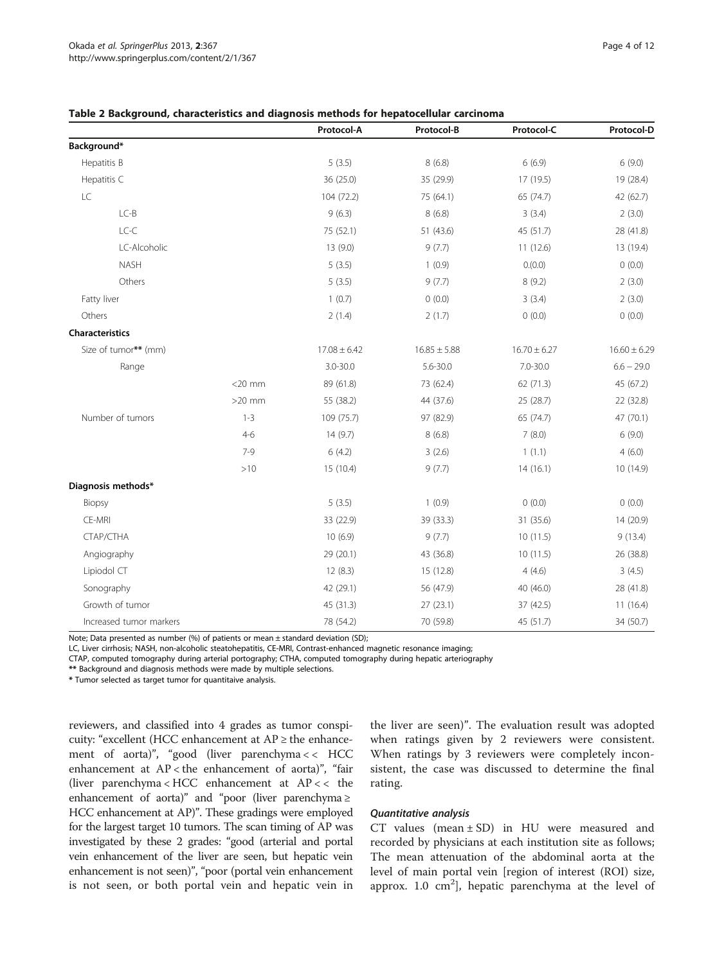#### <span id="page-3-0"></span>Table 2 Background, characteristics and diagnosis methods for hepatocellular carcinoma

|                         |           | Protocol-A       | Protocol-B       | Protocol-C       | Protocol-D       |
|-------------------------|-----------|------------------|------------------|------------------|------------------|
| Background*             |           |                  |                  |                  |                  |
| Hepatitis B             |           | 5(3.5)           | 8(6.8)           | 6(6.9)           | 6(9.0)           |
| Hepatitis C             |           | 36 (25.0)        | 35 (29.9)        | 17 (19.5)        | 19 (28.4)        |
| LC                      |           | 104 (72.2)       | 75 (64.1)        | 65 (74.7)        | 42 (62.7)        |
| $LC-B$                  |           | 9(6.3)           | 8(6.8)           | 3(3.4)           | 2(3.0)           |
| $LC-C$                  |           | 75 (52.1)        | 51 (43.6)        | 45 (51.7)        | 28 (41.8)        |
| LC-Alcoholic            |           | 13 (9.0)         | 9(7.7)           | 11(12.6)         | 13 (19.4)        |
| <b>NASH</b>             |           | 5(3.5)           | 1(0.9)           | 0.(0.0)          | 0(0.0)           |
| Others                  |           | 5(3.5)           | 9(7.7)           | 8(9.2)           | 2(3.0)           |
| Fatty liver             |           | 1(0.7)           | 0(0.0)           | 3(3.4)           | 2(3.0)           |
| Others                  |           | 2(1.4)           | 2(1.7)           | 0(0.0)           | 0(0.0)           |
| Characteristics         |           |                  |                  |                  |                  |
| Size of tumor** (mm)    |           | $17.08 \pm 6.42$ | $16.85 \pm 5.88$ | $16.70 \pm 6.27$ | $16.60 \pm 6.29$ |
| Range                   |           | $3.0 - 30.0$     | $5.6 - 30.0$     | 7.0-30.0         | $6.6 - 29.0$     |
|                         | $<$ 20 mm | 89 (61.8)        | 73 (62.4)        | 62 (71.3)        | 45 (67.2)        |
|                         | $>20$ mm  | 55 (38.2)        | 44 (37.6)        | 25 (28.7)        | 22 (32.8)        |
| Number of tumors        | $1 - 3$   | 109 (75.7)       | 97 (82.9)        | 65 (74.7)        | 47 (70.1)        |
|                         | $4-6$     | 14(9.7)          | 8(6.8)           | 7(8.0)           | 6(9.0)           |
|                         | $7 - 9$   | 6(4.2)           | 3(2.6)           | 1(1.1)           | 4(6.0)           |
|                         | >10       | 15 (10.4)        | 9(7.7)           | 14(16.1)         | 10 (14.9)        |
| Diagnosis methods*      |           |                  |                  |                  |                  |
| Biopsy                  |           | 5(3.5)           | 1(0.9)           | 0(0.0)           | 0(0.0)           |
| CE-MRI                  |           | 33 (22.9)        | 39 (33.3)        | 31 (35.6)        | 14 (20.9)        |
| CTAP/CTHA               |           | 10(6.9)          | 9(7.7)           | 10(11.5)         | 9(13.4)          |
| Angiography             |           | 29 (20.1)        | 43 (36.8)        | 10(11.5)         | 26 (38.8)        |
| Lipiodol CT             |           | 12(8.3)          | 15 (12.8)        | 4(4.6)           | 3(4.5)           |
| Sonography              |           | 42 (29.1)        | 56 (47.9)        | 40 (46.0)        | 28 (41.8)        |
| Growth of tumor         |           | 45 (31.3)        | 27 (23.1)        | 37 (42.5)        | 11(16.4)         |
| Increased tumor markers |           | 78 (54.2)        | 70 (59.8)        | 45 (51.7)        | 34 (50.7)        |

Note; Data presented as number (%) of patients or mean ± standard deviation (SD);

LC, Liver cirrhosis; NASH, non-alcoholic steatohepatitis, CE-MRI, Contrast-enhanced magnetic resonance imaging;

CTAP, computed tomography during arterial portography; CTHA, computed tomography during hepatic arteriography

\*\* Background and diagnosis methods were made by multiple selections.

\* Tumor selected as target tumor for quantitaive analysis.

reviewers, and classified into 4 grades as tumor conspicuity: "excellent (HCC enhancement at  $AP \geq$  the enhancement of aorta)", "good (liver parenchyma < < HCC enhancement at AP < the enhancement of aorta)", "fair (liver parenchyma < HCC enhancement at  $AP \lt\lt$  the enhancement of aorta)" and "poor (liver parenchyma ≥ HCC enhancement at AP)". These gradings were employed for the largest target 10 tumors. The scan timing of AP was investigated by these 2 grades: "good (arterial and portal vein enhancement of the liver are seen, but hepatic vein enhancement is not seen)", "poor (portal vein enhancement is not seen, or both portal vein and hepatic vein in the liver are seen)". The evaluation result was adopted when ratings given by 2 reviewers were consistent. When ratings by 3 reviewers were completely inconsistent, the case was discussed to determine the final rating.

## Quantitative analysis

CT values (mean ± SD) in HU were measured and recorded by physicians at each institution site as follows; The mean attenuation of the abdominal aorta at the level of main portal vein [region of interest (ROI) size, approx. 1.0 cm<sup>2</sup>], hepatic parenchyma at the level of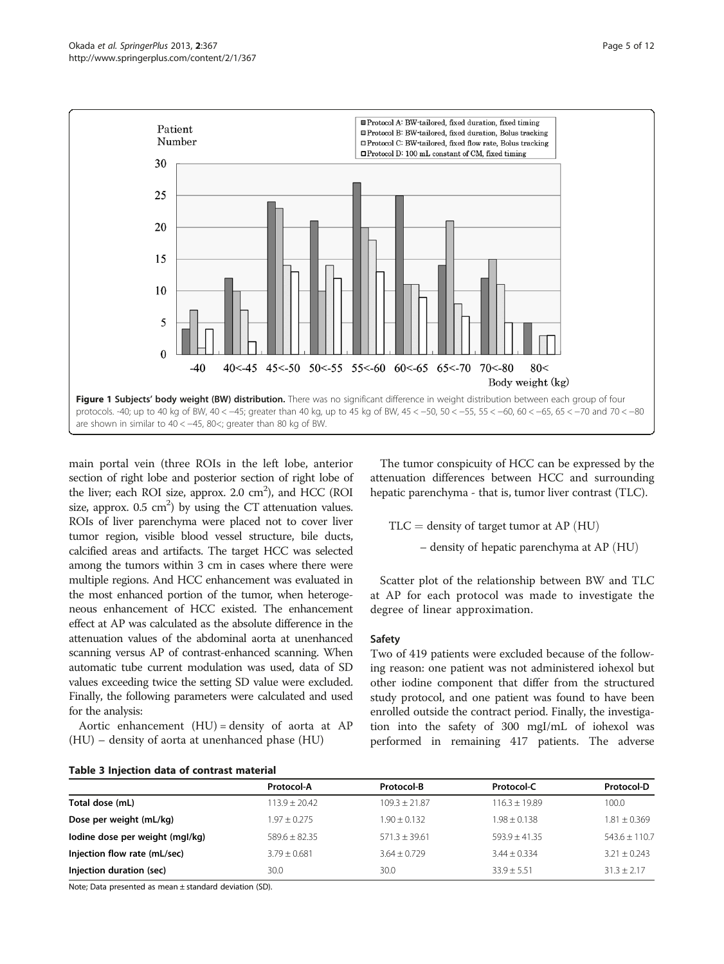<span id="page-4-0"></span>

main portal vein (three ROIs in the left lobe, anterior section of right lobe and posterior section of right lobe of the liver; each ROI size, approx. 2.0 cm<sup>2</sup>), and HCC (ROI size, approx.  $0.5 \text{ cm}^2$ ) by using the CT attenuation values. ROIs of liver parenchyma were placed not to cover liver tumor region, visible blood vessel structure, bile ducts, calcified areas and artifacts. The target HCC was selected among the tumors within 3 cm in cases where there were multiple regions. And HCC enhancement was evaluated in the most enhanced portion of the tumor, when heterogeneous enhancement of HCC existed. The enhancement effect at AP was calculated as the absolute difference in the attenuation values of the abdominal aorta at unenhanced scanning versus AP of contrast-enhanced scanning. When automatic tube current modulation was used, data of SD values exceeding twice the setting SD value were excluded. Finally, the following parameters were calculated and used for the analysis:

Aortic enhancement (HU) = density of aorta at AP (HU) – density of aorta at unenhanced phase (HU)

The tumor conspicuity of HCC can be expressed by the attenuation differences between HCC and surrounding hepatic parenchyma - that is, tumor liver contrast (TLC).

 $TLC =$  density of target tumor at AP (HU)

 $-$  density of hepatic parenchyma at AP (HU)

Scatter plot of the relationship between BW and TLC at AP for each protocol was made to investigate the degree of linear approximation.

### Safety

Two of 419 patients were excluded because of the following reason: one patient was not administered iohexol but other iodine component that differ from the structured study protocol, and one patient was found to have been enrolled outside the contract period. Finally, the investigation into the safety of 300 mgI/mL of iohexol was performed in remaining 417 patients. The adverse

| $18002$ $\sigma$ injection water of contracts indicited |                 |                 |                   |                  |  |
|---------------------------------------------------------|-----------------|-----------------|-------------------|------------------|--|
|                                                         | Protocol-A      | Protocol-B      | Protocol-C        | Protocol-D       |  |
| Total dose (mL)                                         | $113.9 + 20.42$ | $109.3 + 21.87$ | $116.3 + 19.89$   | 100.0            |  |
| Dose per weight (mL/kg)                                 | $1.97 + 0.275$  | $1.90 + 0.132$  | $1.98 \pm 0.138$  | $1.81 \pm 0.369$ |  |
| lodine dose per weight (mgl/kg)                         | $589.6 + 82.35$ | $571.3 + 39.61$ | $593.9 \pm 41.35$ | $543.6 + 110.7$  |  |
| Injection flow rate (mL/sec)                            | $3.79 + 0.681$  | $3.64 + 0.729$  | $3.44 + 0.334$    | $3.21 + 0.243$   |  |
| Injection duration (sec)                                | 30.0            | 30.0            | $33.9 + 5.51$     | $31.3 + 2.17$    |  |

Note; Data presented as mean ± standard deviation (SD).

Table 3 Injection data of contrast material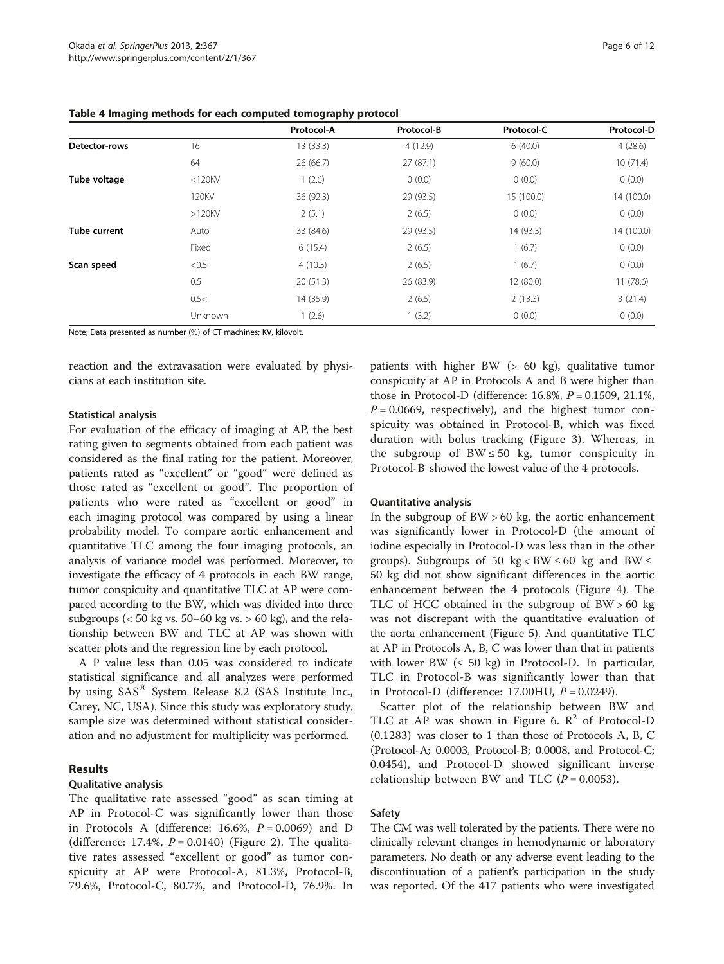|                      |              | Protocol-A | Protocol-B | Protocol-C | Protocol-D |
|----------------------|--------------|------------|------------|------------|------------|
| <b>Detector-rows</b> | 16           | 13(33.3)   | 4(12.9)    | 6(40.0)    | 4(28.6)    |
|                      | 64           | 26 (66.7)  | 27(87.1)   | 9(60.0)    | 10(71.4)   |
| Tube voltage         | $<$ 120 $KV$ | 1(2.6)     | 0(0.0)     | 0(0.0)     | 0(0.0)     |
|                      | 120KV        | 36 (92.3)  | 29 (93.5)  | 15 (100.0) | 14 (100.0) |
|                      | $>120$ KV    | 2(5.1)     | 2(6.5)     | 0(0.0)     | 0(0.0)     |
| <b>Tube current</b>  | Auto         | 33 (84.6)  | 29 (93.5)  | 14 (93.3)  | 14 (100.0) |
|                      | Fixed        | 6(15.4)    | 2(6.5)     | 1(6.7)     | 0(0.0)     |
| Scan speed           | < 0.5        | 4(10.3)    | 2(6.5)     | 1(6.7)     | 0(0.0)     |
|                      | 0.5          | 20(51.3)   | 26 (83.9)  | 12 (80.0)  | 11(78.6)   |
|                      | 0.5<         | 14 (35.9)  | 2(6.5)     | 2(13.3)    | 3(21.4)    |
|                      | Unknown      | 1(2.6)     | 1(3.2)     | 0(0.0)     | 0(0.0)     |

<span id="page-5-0"></span>Table 4 Imaging methods for each computed tomography protocol

Note; Data presented as number (%) of CT machines; KV, kilovolt.

reaction and the extravasation were evaluated by physicians at each institution site.

### Statistical analysis

For evaluation of the efficacy of imaging at AP, the best rating given to segments obtained from each patient was considered as the final rating for the patient. Moreover, patients rated as "excellent" or "good" were defined as those rated as "excellent or good". The proportion of patients who were rated as "excellent or good" in each imaging protocol was compared by using a linear probability model. To compare aortic enhancement and quantitative TLC among the four imaging protocols, an analysis of variance model was performed. Moreover, to investigate the efficacy of 4 protocols in each BW range, tumor conspicuity and quantitative TLC at AP were compared according to the BW, which was divided into three subgroups ( $< 50$  kg vs. 50–60 kg vs.  $> 60$  kg), and the relationship between BW and TLC at AP was shown with scatter plots and the regression line by each protocol.

A P value less than 0.05 was considered to indicate statistical significance and all analyzes were performed by using  $SAS^{\circledast}$  System Release 8.2 (SAS Institute Inc., Carey, NC, USA). Since this study was exploratory study, sample size was determined without statistical consideration and no adjustment for multiplicity was performed.

### Results

## Qualitative analysis

The qualitative rate assessed "good" as scan timing at AP in Protocol-C was significantly lower than those in Protocols A (difference: 16.6%,  $P = 0.0069$ ) and D (difference: 17.4%,  $P = 0.0140$ ) (Figure [2\)](#page-6-0). The qualitative rates assessed "excellent or good" as tumor conspicuity at AP were Protocol-A, 81.3%, Protocol-B, 79.6%, Protocol-C, 80.7%, and Protocol-D, 76.9%. In

patients with higher BW (> 60 kg), qualitative tumor conspicuity at AP in Protocols A and B were higher than those in Protocol-D (difference: 16.8%,  $P = 0.1509, 21.1%$ ,  $P = 0.0669$ , respectively), and the highest tumor conspicuity was obtained in Protocol-B, which was fixed duration with bolus tracking (Figure [3\)](#page-6-0). Whereas, in the subgroup of  $BW \le 50$  kg, tumor conspicuity in Protocol-B showed the lowest value of the 4 protocols.

### Quantitative analysis

In the subgroup of  $BW > 60$  kg, the aortic enhancement was significantly lower in Protocol-D (the amount of iodine especially in Protocol-D was less than in the other groups). Subgroups of 50 kg < BW  $\leq$  60 kg and BW  $\leq$ 50 kg did not show significant differences in the aortic enhancement between the 4 protocols (Figure [4](#page-7-0)). The TLC of HCC obtained in the subgroup of  $BW > 60$  kg was not discrepant with the quantitative evaluation of the aorta enhancement (Figure [5\)](#page-8-0). And quantitative TLC at AP in Protocols A, B, C was lower than that in patients with lower BW  $( \leq 50 \text{ kg} )$  in Protocol-D. In particular, TLC in Protocol-B was significantly lower than that in Protocol-D (difference: 17.00HU,  $P = 0.0249$ ).

Scatter plot of the relationship between BW and TLC at AP was shown in Figure [6](#page-9-0).  $\mathbb{R}^2$  of Protocol-D (0.1283) was closer to 1 than those of Protocols A, B, C (Protocol-A; 0.0003, Protocol-B; 0.0008, and Protocol-C; 0.0454), and Protocol-D showed significant inverse relationship between BW and TLC  $(P = 0.0053)$ .

### Safety

The CM was well tolerated by the patients. There were no clinically relevant changes in hemodynamic or laboratory parameters. No death or any adverse event leading to the discontinuation of a patient's participation in the study was reported. Of the 417 patients who were investigated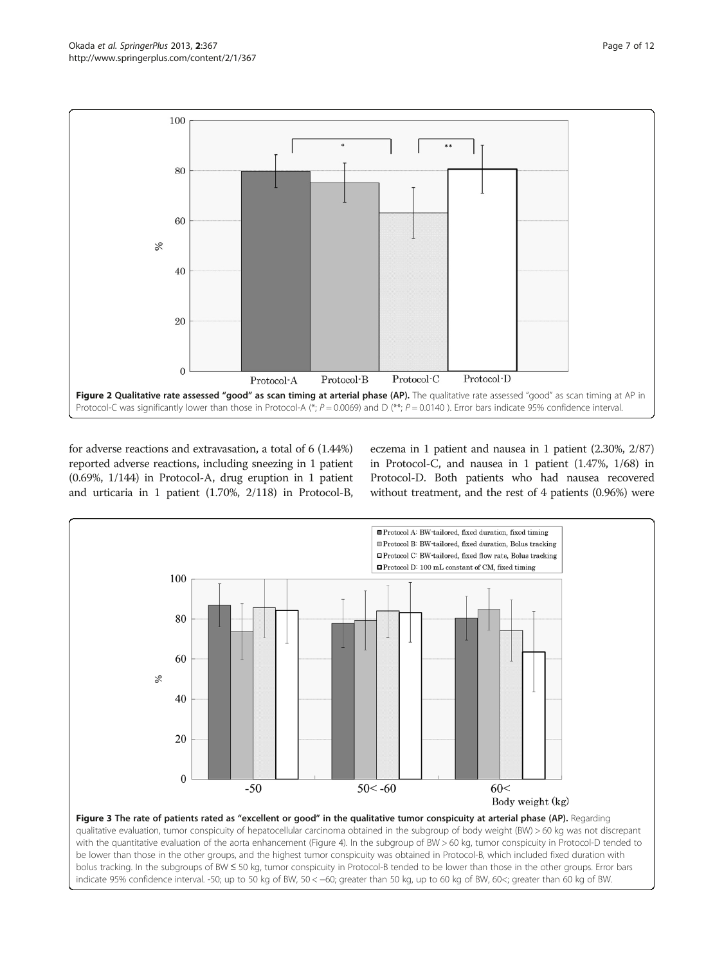<span id="page-6-0"></span>

for adverse reactions and extravasation, a total of 6 (1.44%) reported adverse reactions, including sneezing in 1 patient (0.69%, 1/144) in Protocol-A, drug eruption in 1 patient and urticaria in 1 patient (1.70%, 2/118) in Protocol-B,

eczema in 1 patient and nausea in 1 patient (2.30%, 2/87) in Protocol-C, and nausea in 1 patient (1.47%, 1/68) in Protocol-D. Both patients who had nausea recovered without treatment, and the rest of 4 patients (0.96%) were



qualitative evaluation, tumor conspicuity of hepatocellular carcinoma obtained in the subgroup of body weight (BW) > 60 kg was not discrepant with the quantitative evaluation of the aorta enhancement (Figure [4\)](#page-7-0). In the subgroup of BW > 60 kg, tumor conspicuity in Protocol-D tended to be lower than those in the other groups, and the highest tumor conspicuity was obtained in Protocol-B, which included fixed duration with bolus tracking. In the subgroups of BW ≤ 50 kg, tumor conspicuity in Protocol-B tended to be lower than those in the other groups. Error bars indicate 95% confidence interval. -50; up to 50 kg of BW, 50 < −60; greater than 50 kg, up to 60 kg of BW, 60<; greater than 60 kg of BW.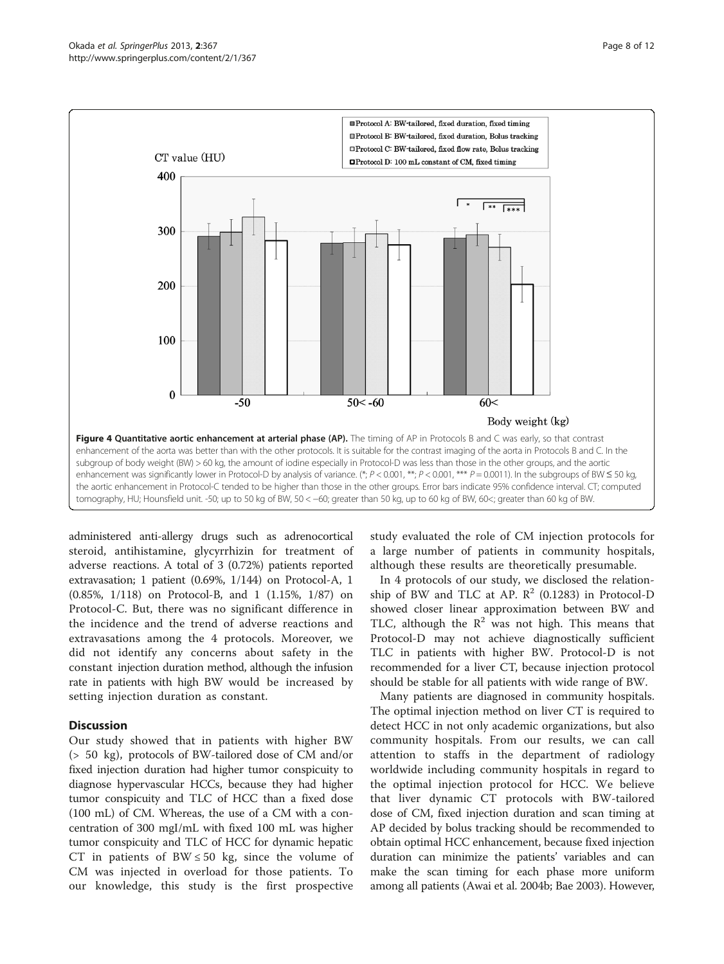<span id="page-7-0"></span>

administered anti-allergy drugs such as adrenocortical steroid, antihistamine, glycyrrhizin for treatment of adverse reactions. A total of 3 (0.72%) patients reported extravasation; 1 patient (0.69%, 1/144) on Protocol-A, 1 (0.85%, 1/118) on Protocol-B, and 1 (1.15%, 1/87) on Protocol-C. But, there was no significant difference in the incidence and the trend of adverse reactions and extravasations among the 4 protocols. Moreover, we did not identify any concerns about safety in the constant injection duration method, although the infusion rate in patients with high BW would be increased by setting injection duration as constant.

## **Discussion**

Our study showed that in patients with higher BW (> 50 kg), protocols of BW-tailored dose of CM and/or fixed injection duration had higher tumor conspicuity to diagnose hypervascular HCCs, because they had higher tumor conspicuity and TLC of HCC than a fixed dose (100 mL) of CM. Whereas, the use of a CM with a concentration of 300 mgI/mL with fixed 100 mL was higher tumor conspicuity and TLC of HCC for dynamic hepatic CT in patients of  $BW \le 50$  kg, since the volume of CM was injected in overload for those patients. To our knowledge, this study is the first prospective

study evaluated the role of CM injection protocols for a large number of patients in community hospitals, although these results are theoretically presumable.

In 4 protocols of our study, we disclosed the relationship of BW and TLC at AP.  $R^2$  (0.1283) in Protocol-D showed closer linear approximation between BW and TLC, although the  $R^2$  was not high. This means that Protocol-D may not achieve diagnostically sufficient TLC in patients with higher BW. Protocol-D is not recommended for a liver CT, because injection protocol should be stable for all patients with wide range of BW.

Many patients are diagnosed in community hospitals. The optimal injection method on liver CT is required to detect HCC in not only academic organizations, but also community hospitals. From our results, we can call attention to staffs in the department of radiology worldwide including community hospitals in regard to the optimal injection protocol for HCC. We believe that liver dynamic CT protocols with BW-tailored dose of CM, fixed injection duration and scan timing at AP decided by bolus tracking should be recommended to obtain optimal HCC enhancement, because fixed injection duration can minimize the patients' variables and can make the scan timing for each phase more uniform among all patients (Awai et al. [2004b](#page-10-0); Bae [2003](#page-10-0)). However,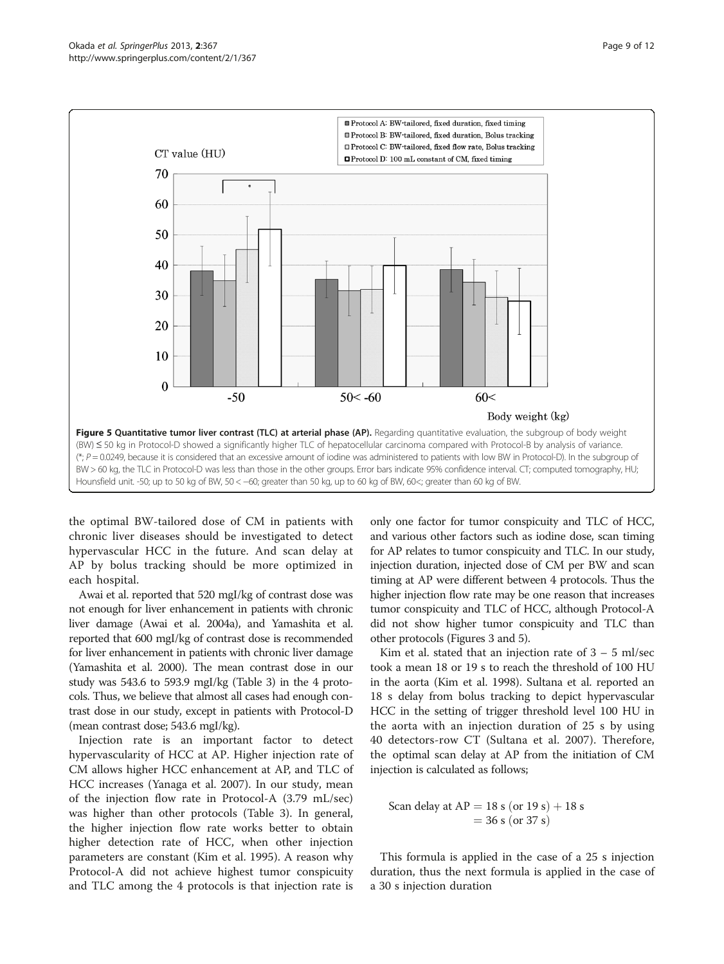<span id="page-8-0"></span>

the optimal BW-tailored dose of CM in patients with chronic liver diseases should be investigated to detect hypervascular HCC in the future. And scan delay at AP by bolus tracking should be more optimized in each hospital.

Awai et al. reported that 520 mgI/kg of contrast dose was not enough for liver enhancement in patients with chronic liver damage (Awai et al. [2004a](#page-10-0)), and Yamashita et al. reported that 600 mgI/kg of contrast dose is recommended for liver enhancement in patients with chronic liver damage (Yamashita et al. [2000\)](#page-11-0). The mean contrast dose in our study was 543.6 to 593.9 mgI/kg (Table [3\)](#page-4-0) in the 4 protocols. Thus, we believe that almost all cases had enough contrast dose in our study, except in patients with Protocol-D (mean contrast dose; 543.6 mgI/kg).

Injection rate is an important factor to detect hypervascularity of HCC at AP. Higher injection rate of CM allows higher HCC enhancement at AP, and TLC of HCC increases (Yanaga et al. [2007](#page-11-0)). In our study, mean of the injection flow rate in Protocol-A (3.79 mL/sec) was higher than other protocols (Table [3](#page-4-0)). In general, the higher injection flow rate works better to obtain higher detection rate of HCC, when other injection parameters are constant (Kim et al. [1995](#page-10-0)). A reason why Protocol-A did not achieve highest tumor conspicuity and TLC among the 4 protocols is that injection rate is

only one factor for tumor conspicuity and TLC of HCC, and various other factors such as iodine dose, scan timing for AP relates to tumor conspicuity and TLC. In our study, injection duration, injected dose of CM per BW and scan timing at AP were different between 4 protocols. Thus the higher injection flow rate may be one reason that increases tumor conspicuity and TLC of HCC, although Protocol-A did not show higher tumor conspicuity and TLC than other protocols (Figures [3](#page-6-0) and 5).

Kim et al. stated that an injection rate of  $3 - 5$  ml/sec took a mean 18 or 19 s to reach the threshold of 100 HU in the aorta (Kim et al. [1998](#page-10-0)). Sultana et al. reported an 18 s delay from bolus tracking to depict hypervascular HCC in the setting of trigger threshold level 100 HU in the aorta with an injection duration of 25 s by using 40 detectors-row CT (Sultana et al. [2007](#page-11-0)). Therefore, the optimal scan delay at AP from the initiation of CM injection is calculated as follows;

Scan delay at  $AP = 18$  s (or 19 s) + 18 s  $= 36$  s (or 37 s)

This formula is applied in the case of a 25 s injection duration, thus the next formula is applied in the case of a 30 s injection duration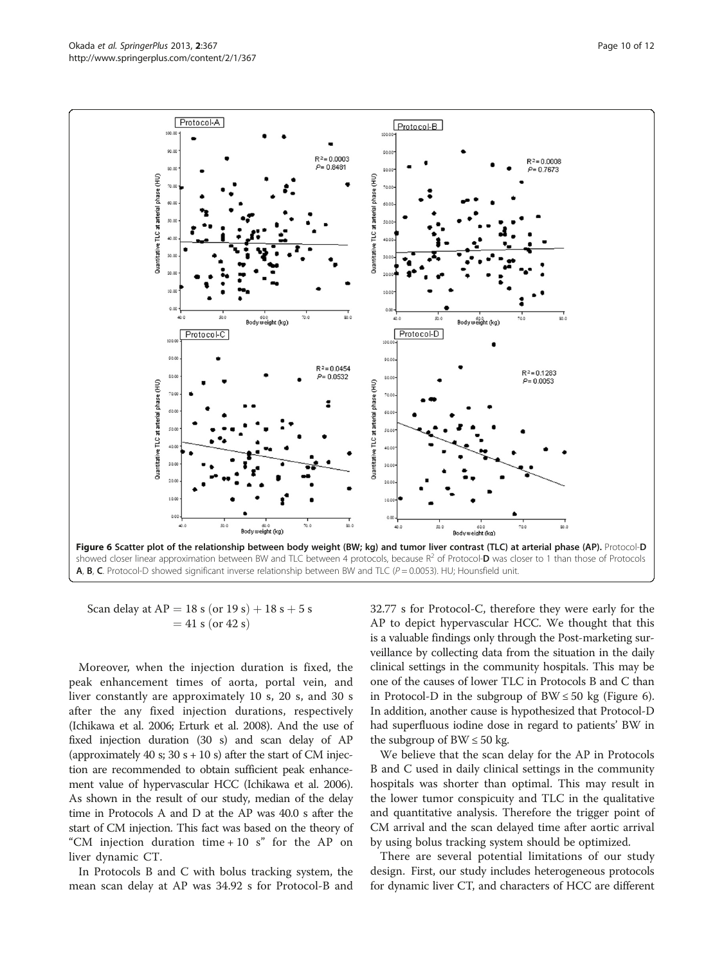Moreover, when the injection duration is fixed, the peak enhancement times of aorta, portal vein, and liver constantly are approximately 10 s, 20 s, and 30 s after the any fixed injection durations, respectively (Ichikawa et al. [2006](#page-10-0); Erturk et al. [2008](#page-10-0)). And the use of fixed injection duration (30 s) and scan delay of AP (approximately 40 s;  $30 s + 10 s$ ) after the start of CM injection are recommended to obtain sufficient peak enhancement value of hypervascular HCC (Ichikawa et al. [2006](#page-10-0)). As shown in the result of our study, median of the delay time in Protocols A and D at the AP was 40.0 s after the start of CM injection. This fact was based on the theory of "CM injection duration time  $+10 s$ " for the AP on liver dynamic CT.

Scan delay at  $AP = 18$  s (or 19 s) + 18 s + 5 s  $= 41$  s (or 42 s)

In Protocols B and C with bolus tracking system, the mean scan delay at AP was 34.92 s for Protocol-B and 32.77 s for Protocol-C, therefore they were early for the AP to depict hypervascular HCC. We thought that this is a valuable findings only through the Post-marketing surveillance by collecting data from the situation in the daily clinical settings in the community hospitals. This may be one of the causes of lower TLC in Protocols B and C than in Protocol-D in the subgroup of BW  $\leq 50$  kg (Figure 6). In addition, another cause is hypothesized that Protocol-D had superfluous iodine dose in regard to patients' BW in the subgroup of BW  $\leq 50$  kg.

We believe that the scan delay for the AP in Protocols B and C used in daily clinical settings in the community hospitals was shorter than optimal. This may result in the lower tumor conspicuity and TLC in the qualitative and quantitative analysis. Therefore the trigger point of CM arrival and the scan delayed time after aortic arrival by using bolus tracking system should be optimized.

There are several potential limitations of our study design. First, our study includes heterogeneous protocols for dynamic liver CT, and characters of HCC are different

<span id="page-9-0"></span>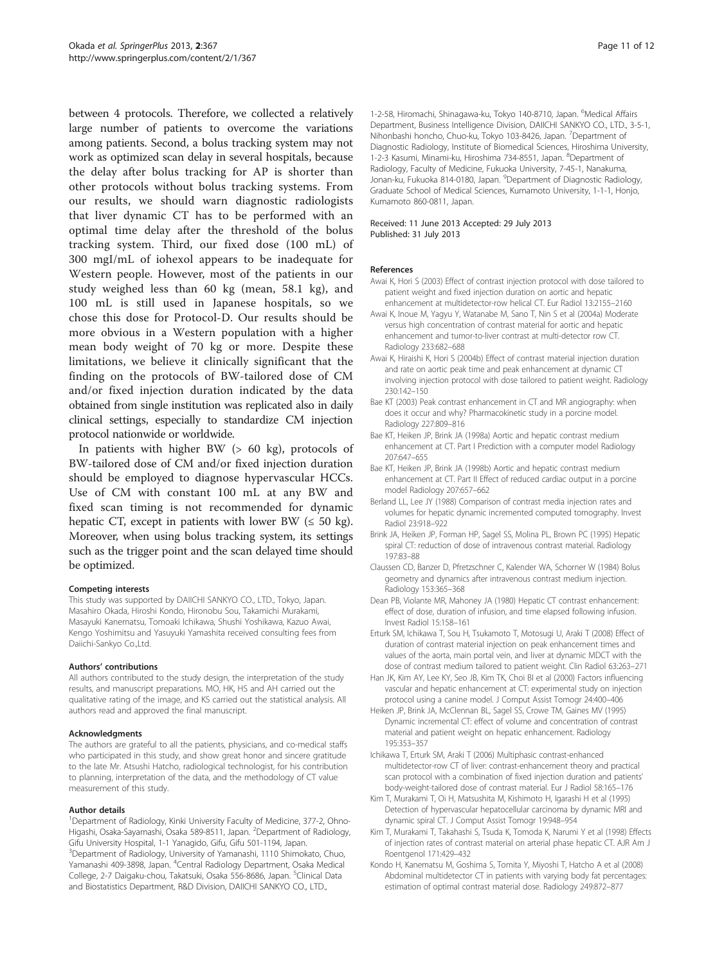<span id="page-10-0"></span>between 4 protocols. Therefore, we collected a relatively large number of patients to overcome the variations among patients. Second, a bolus tracking system may not work as optimized scan delay in several hospitals, because the delay after bolus tracking for AP is shorter than other protocols without bolus tracking systems. From our results, we should warn diagnostic radiologists that liver dynamic CT has to be performed with an optimal time delay after the threshold of the bolus tracking system. Third, our fixed dose (100 mL) of 300 mgI/mL of iohexol appears to be inadequate for Western people. However, most of the patients in our study weighed less than 60 kg (mean, 58.1 kg), and 100 mL is still used in Japanese hospitals, so we chose this dose for Protocol-D. Our results should be more obvious in a Western population with a higher mean body weight of 70 kg or more. Despite these limitations, we believe it clinically significant that the finding on the protocols of BW-tailored dose of CM and/or fixed injection duration indicated by the data obtained from single institution was replicated also in daily clinical settings, especially to standardize CM injection protocol nationwide or worldwide.

In patients with higher BW (> 60 kg), protocols of BW-tailored dose of CM and/or fixed injection duration should be employed to diagnose hypervascular HCCs. Use of CM with constant 100 mL at any BW and fixed scan timing is not recommended for dynamic hepatic CT, except in patients with lower BW  $(\leq 50 \text{ kg})$ . Moreover, when using bolus tracking system, its settings such as the trigger point and the scan delayed time should be optimized.

#### Competing interests

This study was supported by DAIICHI SANKYO CO., LTD., Tokyo, Japan. Masahiro Okada, Hiroshi Kondo, Hironobu Sou, Takamichi Murakami, Masayuki Kanematsu, Tomoaki Ichikawa, Shushi Yoshikawa, Kazuo Awai, Kengo Yoshimitsu and Yasuyuki Yamashita received consulting fees from Daiichi-Sankyo Co.,Ltd.

#### Authors' contributions

All authors contributed to the study design, the interpretation of the study results, and manuscript preparations. MO, HK, HS and AH carried out the qualitative rating of the image, and KS carried out the statistical analysis. All authors read and approved the final manuscript.

#### Acknowledgments

The authors are grateful to all the patients, physicians, and co-medical staffs who participated in this study, and show great honor and sincere gratitude to the late Mr. Atsushi Hatcho, radiological technologist, for his contribution to planning, interpretation of the data, and the methodology of CT value measurement of this study.

#### Author details

<sup>1</sup>Department of Radiology, Kinki University Faculty of Medicine, 377-2, Ohno-Higashi, Osaka-Sayamashi, Osaka 589-8511, Japan. <sup>2</sup>Department of Radiology, Gifu University Hospital, 1-1 Yanagido, Gifu, Gifu 501-1194, Japan. <sup>3</sup>Department of Radiology, University of Yamanashi, 1110 Shimokato, Chuo, Yamanashi 409-3898, Japan. <sup>4</sup>Central Radiology Department, Osaka Medical College, 2-7 Daigaku-chou, Takatsuki, Osaka 556-8686, Japan. <sup>5</sup>Clinical Data and Biostatistics Department, R&D Division, DAIICHI SANKYO CO., LTD.,

1-2-58, Hiromachi, Shinagawa-ku, Tokyo 140-8710, Japan. <sup>6</sup>Medical Affairs Department, Business Intelligence Division, DAIICHI SANKYO CO., LTD., 3-5-1, Nihonbashi honcho, Chuo-ku, Tokyo 103-8426, Japan. <sup>7</sup>Department of Diagnostic Radiology, Institute of Biomedical Sciences, Hiroshima University, 1-2-3 Kasumi, Minami-ku, Hiroshima 734-8551, Japan. <sup>8</sup>Department of Radiology, Faculty of Medicine, Fukuoka University, 7-45-1, Nanakuma, Jonan-ku, Fukuoka 814-0180, Japan. <sup>9</sup>Department of Diagnostic Radiology Graduate School of Medical Sciences, Kumamoto University, 1-1-1, Honjo, Kumamoto 860-0811, Japan.

#### Received: 11 June 2013 Accepted: 29 July 2013 Published: 31 July 2013

#### References

- Awai K, Hori S (2003) Effect of contrast injection protocol with dose tailored to patient weight and fixed injection duration on aortic and hepatic enhancement at multidetector-row helical CT. Eur Radiol 13:2155–2160
- Awai K, Inoue M, Yagyu Y, Watanabe M, Sano T, Nin S et al (2004a) Moderate versus high concentration of contrast material for aortic and hepatic enhancement and tumor-to-liver contrast at multi-detector row CT. Radiology 233:682–688
- Awai K, Hiraishi K, Hori S (2004b) Effect of contrast material injection duration and rate on aortic peak time and peak enhancement at dynamic CT involving injection protocol with dose tailored to patient weight. Radiology 230:142–150
- Bae KT (2003) Peak contrast enhancement in CT and MR angiography: when does it occur and why? Pharmacokinetic study in a porcine model. Radiology 227:809–816
- Bae KT, Heiken JP, Brink JA (1998a) Aortic and hepatic contrast medium enhancement at CT. Part I Prediction with a computer model Radiology 207:647–655
- Bae KT, Heiken JP, Brink JA (1998b) Aortic and hepatic contrast medium enhancement at CT. Part II Effect of reduced cardiac output in a porcine model Radiology 207:657–662
- Berland LL, Lee JY (1988) Comparison of contrast media injection rates and volumes for hepatic dynamic incremented computed tomography. Invest Radiol 23:918–922
- Brink JA, Heiken JP, Forman HP, Sagel SS, Molina PL, Brown PC (1995) Hepatic spiral CT: reduction of dose of intravenous contrast material. Radiology 197:83–88
- Claussen CD, Banzer D, Pfretzschner C, Kalender WA, Schorner W (1984) Bolus geometry and dynamics after intravenous contrast medium injection. Radiology 153:365–368
- Dean PB, Violante MR, Mahoney JA (1980) Hepatic CT contrast enhancement: effect of dose, duration of infusion, and time elapsed following infusion. Invest Radiol 15:158–161
- Erturk SM, Ichikawa T, Sou H, Tsukamoto T, Motosugi U, Araki T (2008) Effect of duration of contrast material injection on peak enhancement times and values of the aorta, main portal vein, and liver at dynamic MDCT with the dose of contrast medium tailored to patient weight. Clin Radiol 63:263–271
- Han JK, Kim AY, Lee KY, Seo JB, Kim TK, Choi BI et al (2000) Factors influencing vascular and hepatic enhancement at CT: experimental study on injection protocol using a canine model. J Comput Assist Tomogr 24:400–406
- Heiken JP, Brink JA, McClennan BL, Sagel SS, Crowe TM, Gaines MV (1995) Dynamic incremental CT: effect of volume and concentration of contrast material and patient weight on hepatic enhancement. Radiology 195:353–357
- Ichikawa T, Erturk SM, Araki T (2006) Multiphasic contrast-enhanced multidetector-row CT of liver: contrast-enhancement theory and practical scan protocol with a combination of fixed injection duration and patients' body-weight-tailored dose of contrast material. Eur J Radiol 58:165–176
- Kim T, Murakami T, Oi H, Matsushita M, Kishimoto H, Igarashi H et al (1995) Detection of hypervascular hepatocellular carcinoma by dynamic MRI and dynamic spiral CT. J Comput Assist Tomogr 19:948–954
- Kim T, Murakami T, Takahashi S, Tsuda K, Tomoda K, Narumi Y et al (1998) Effects of injection rates of contrast material on arterial phase hepatic CT. AJR Am J Roentgenol 171:429–432
- Kondo H, Kanematsu M, Goshima S, Tomita Y, Miyoshi T, Hatcho A et al (2008) Abdominal multidetector CT in patients with varying body fat percentages: estimation of optimal contrast material dose. Radiology 249:872–877